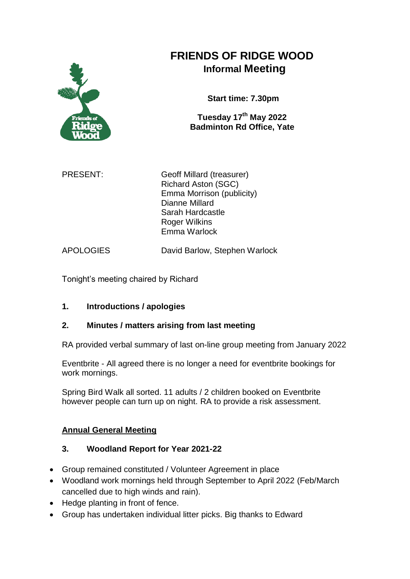

# **FRIENDS OF RIDGE WOOD Informal Meeting**

**Start time: 7.30pm**

**Tuesday 17th May 2022 Badminton Rd Office, Yate**

PRESENT: Geoff Millard (treasurer) Richard Aston (SGC) Emma Morrison (publicity) Dianne Millard Sarah Hardcastle Roger Wilkins Emma Warlock

APOLOGIES David Barlow, Stephen Warlock

Tonight's meeting chaired by Richard

# **1. Introductions / apologies**

# **2. Minutes / matters arising from last meeting**

RA provided verbal summary of last on-line group meeting from January 2022

Eventbrite - All agreed there is no longer a need for eventbrite bookings for work mornings.

Spring Bird Walk all sorted. 11 adults / 2 children booked on Eventbrite however people can turn up on night. RA to provide a risk assessment.

# **Annual General Meeting**

# **3. Woodland Report for Year 2021-22**

- Group remained constituted / Volunteer Agreement in place
- Woodland work mornings held through September to April 2022 (Feb/March cancelled due to high winds and rain).
- Hedge planting in front of fence.
- Group has undertaken individual litter picks. Big thanks to Edward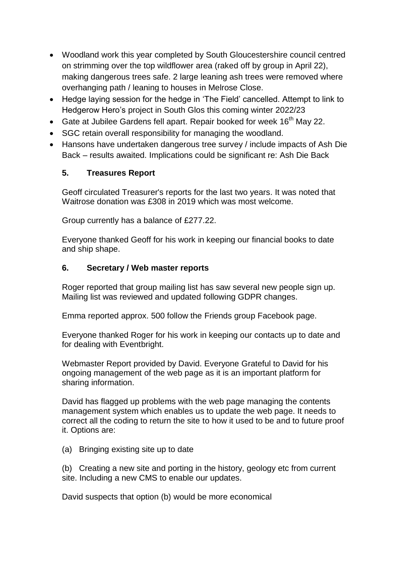- Woodland work this year completed by South Gloucestershire council centred on strimming over the top wildflower area (raked off by group in April 22), making dangerous trees safe. 2 large leaning ash trees were removed where overhanging path / leaning to houses in Melrose Close.
- Hedge laying session for the hedge in 'The Field' cancelled. Attempt to link to Hedgerow Hero's project in South Glos this coming winter 2022/23
- Gate at Jubilee Gardens fell apart. Repair booked for week  $16<sup>th</sup>$  May 22.
- SGC retain overall responsibility for managing the woodland.
- Hansons have undertaken dangerous tree survey / include impacts of Ash Die Back – results awaited. Implications could be significant re: Ash Die Back

## **5. Treasures Report**

Geoff circulated Treasurer's reports for the last two years. It was noted that Waitrose donation was £308 in 2019 which was most welcome.

Group currently has a balance of £277.22.

Everyone thanked Geoff for his work in keeping our financial books to date and ship shape.

## **6. Secretary / Web master reports**

Roger reported that group mailing list has saw several new people sign up. Mailing list was reviewed and updated following GDPR changes.

Emma reported approx. 500 follow the Friends group Facebook page.

Everyone thanked Roger for his work in keeping our contacts up to date and for dealing with Eventbright.

Webmaster Report provided by David. Everyone Grateful to David for his ongoing management of the web page as it is an important platform for sharing information.

David has flagged up problems with the web page managing the contents management system which enables us to update the web page. It needs to correct all the coding to return the site to how it used to be and to future proof it. Options are:

(a) Bringing existing site up to date

(b) Creating a new site and porting in the history, geology etc from current site. Including a new CMS to enable our updates.

David suspects that option (b) would be more economical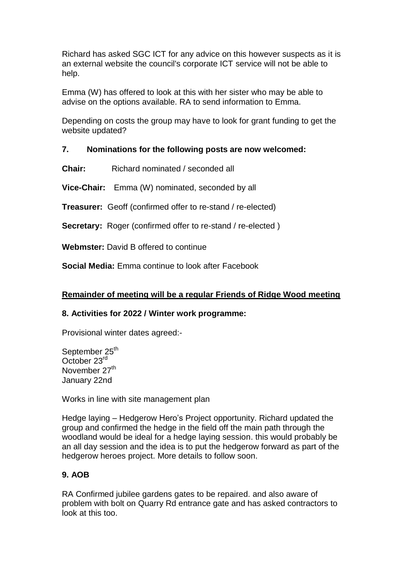Richard has asked SGC ICT for any advice on this however suspects as it is an external website the council's corporate ICT service will not be able to help.

Emma (W) has offered to look at this with her sister who may be able to advise on the options available. RA to send information to Emma.

Depending on costs the group may have to look for grant funding to get the website updated?

#### **7. Nominations for the following posts are now welcomed:**

**Chair:** Richard nominated / seconded all

**Vice-Chair:** Emma (W) nominated, seconded by all

**Treasurer:** Geoff (confirmed offer to re-stand / re-elected)

**Secretary:** Roger (confirmed offer to re-stand / re-elected )

**Webmster:** David B offered to continue

**Social Media:** Emma continue to look after Facebook

#### **Remainder of meeting will be a regular Friends of Ridge Wood meeting**

#### **8. Activities for 2022 / Winter work programme:**

Provisional winter dates agreed:-

September 25<sup>th</sup> October 23rd November 27<sup>th</sup> January 22nd

Works in line with site management plan

Hedge laying – Hedgerow Hero's Project opportunity. Richard updated the group and confirmed the hedge in the field off the main path through the woodland would be ideal for a hedge laying session. this would probably be an all day session and the idea is to put the hedgerow forward as part of the hedgerow heroes project. More details to follow soon.

## **9. AOB**

RA Confirmed jubilee gardens gates to be repaired. and also aware of problem with bolt on Quarry Rd entrance gate and has asked contractors to look at this too.